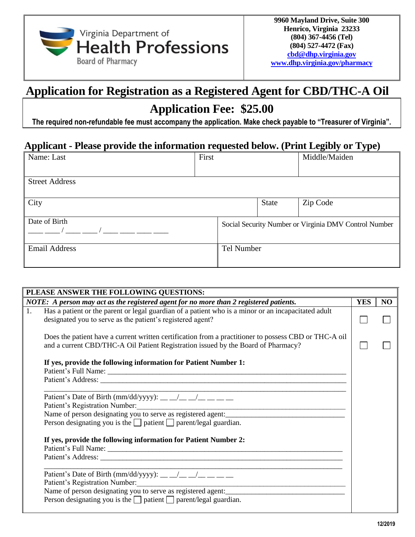

## **Application for Registration as a Registered Agent for CBD/THC-A Oil**

## **Application Fee: \$25.00**

**The required non-refundable fee must accompany the application. Make check payable to "Treasurer of Virginia".**

## **Applicant - Please provide the information requested below. (Print Legibly or Type)**

| Name: Last            | First |                                                       |            | Middle/Maiden |  |
|-----------------------|-------|-------------------------------------------------------|------------|---------------|--|
| <b>Street Address</b> |       |                                                       |            |               |  |
| City                  |       |                                                       | State      | Zip Code      |  |
| Date of Birth         |       | Social Security Number or Virginia DMV Control Number |            |               |  |
| <b>Email Address</b>  |       |                                                       | Tel Number |               |  |

| PLEASE ANSWER THE FOLLOWING QUESTIONS:                                                                                                                                                     |  |                |  |  |  |  |
|--------------------------------------------------------------------------------------------------------------------------------------------------------------------------------------------|--|----------------|--|--|--|--|
| NOTE: A person may act as the registered agent for no more than 2 registered patients.                                                                                                     |  | N <sub>O</sub> |  |  |  |  |
| Has a patient or the parent or legal guardian of a patient who is a minor or an incapacitated adult<br>designated you to serve as the patient's registered agent?                          |  |                |  |  |  |  |
| Does the patient have a current written certification from a practitioner to possess CBD or THC-A oil<br>and a current CBD/THC-A Oil Patient Registration issued by the Board of Pharmacy? |  |                |  |  |  |  |
| If yes, provide the following information for Patient Number 1:                                                                                                                            |  |                |  |  |  |  |
|                                                                                                                                                                                            |  |                |  |  |  |  |
| Patient's Date of Birth (mm/dd/yyyy): __ _/_ _/_ _/_ _ _                                                                                                                                   |  |                |  |  |  |  |
| Patient's Registration Number:<br>Name of person designating you to serve as registered agent:                                                                                             |  |                |  |  |  |  |
| Person designating you is the $\Box$ patient $\Box$ parent/legal guardian.                                                                                                                 |  |                |  |  |  |  |
| If yes, provide the following information for Patient Number 2:                                                                                                                            |  |                |  |  |  |  |
| Patient's Date of Birth (mm/dd/yyyy): _________________<br>Patient's Registration Number:                                                                                                  |  |                |  |  |  |  |
| Name of person designating you to serve as registered agent:                                                                                                                               |  |                |  |  |  |  |
| Person designating you is the $\Box$ patient $\Box$ parent/legal guardian.                                                                                                                 |  |                |  |  |  |  |